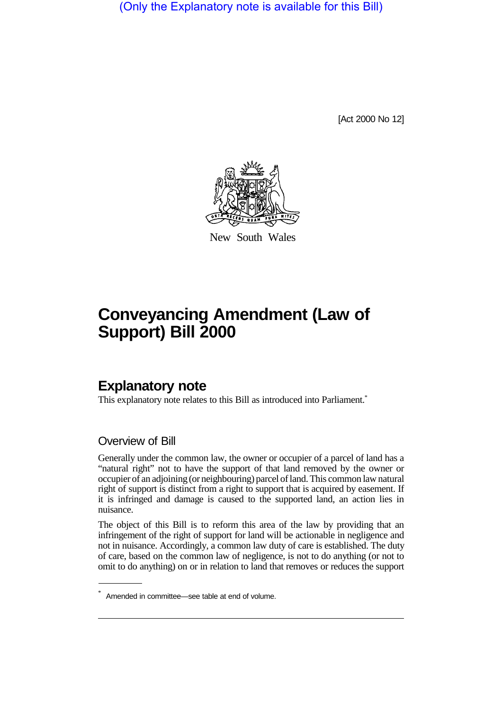(Only the Explanatory note is available for this Bill)

[Act 2000 No 12]



New South Wales

## **Conveyancing Amendment (Law of Support) Bill 2000**

## **Explanatory note**

This explanatory note relates to this Bill as introduced into Parliament.<sup>\*</sup>

## Overview of Bill

Generally under the common law, the owner or occupier of a parcel of land has a "natural right" not to have the support of that land removed by the owner or occupier of an adjoining (or neighbouring) parcel of land. This common law natural right of support is distinct from a right to support that is acquired by easement. If it is infringed and damage is caused to the supported land, an action lies in nuisance.

The object of this Bill is to reform this area of the law by providing that an infringement of the right of support for land will be actionable in negligence and not in nuisance. Accordingly, a common law duty of care is established. The duty of care, based on the common law of negligence, is not to do anything (or not to omit to do anything) on or in relation to land that removes or reduces the support

<sup>\*</sup> Amended in committee—see table at end of volume.